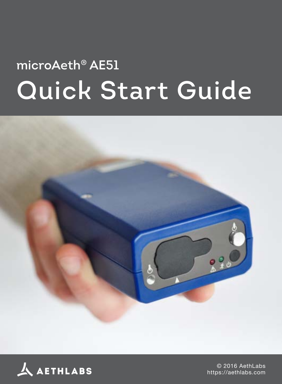# **microAeth® AE51 Quick Start Guide**





© 2016 AethLabs <https://aethlabs.com>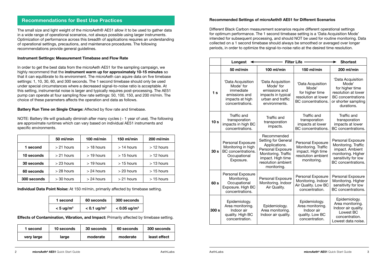### **Recommendations for Best Use Practices**

The small size and light weight of the microAeth® AE51 allow it to be used to gather data in a wide range of operational scenarios, not always possible using larger instruments. Optimization of performance across this breadth of applications requires an understanding of operational settings, precautions, and maintenance procedures. The following recommendations provide general guidelines.

#### **Instrument Settings: Measurement Timebase and Flow Rate**

In order to get the best data from the microAeth AE51 for the sampling campaign, we highly recommend that the **instrument warm up for approximately 10-15 minutes** so that it can equilibrate to its environment. The microAeth can aquire data on five timebase settings: 1, 10, 30, 60, and 300 seconds. The 1 second timebase should only be used under special circumstances where a decreased signal-to-noise ratio is acceptable. At this setting, instrumental noise is larger and typically requires post-processing. The AE51 pump can operate at four sampling flow rate settings: 50, 100, 150, and 200 ml/min. The choice of these parameters affects the operation and data as follows.

**Battery Run Time on Single Charge:** Affected by flow rate and timebase.

NOTE: Battery life will gradually diminish after many cycles (~ 1 year of use). The following are approximate runtimes which can vary based on individual AE51 instruments and specific environments.

|                                            | 50 ml/min    | $100$ ml/min | 150 ml/min   | 200 ml/min   |
|--------------------------------------------|--------------|--------------|--------------|--------------|
| 1 second<br>$> 21$ hours                   |              | $>$ 18 hours | $>14$ hours  | $>12$ hours  |
| 10 seconds<br>$>$ 19 hours<br>$> 21$ hours |              | $>$ 15 hours | $>12$ hours  |              |
| 30 seconds                                 | $>$ 23 hours | $>$ 19 hours | $>$ 15 hours | $>$ 13 hours |
| 60 seconds                                 | $>$ 28 hours | $> 24$ hours | $>$ 20 hours | $>$ 15 hours |
| 300 seconds                                | $>$ 30 hours | $>$ 24 hours | $>21$ hours  | $>$ 15 hours |

**Individual Data Point Noise:** At 150 ml/min, primarily affected by timebase setting.

| 1 second             | 60 seconds                | 300 seconds                |
|----------------------|---------------------------|----------------------------|
| $< 5 \text{ ug/m}^3$ | $< 0.1$ ug/m <sup>3</sup> | $< 0.05$ ug/m <sup>3</sup> |

**Effects of Contamination, Vibration, and Impact:** Primarily affected by timebase setting.

| 1 second   | 10 seconds | 30 seconds | 60 seconds | <b>300 seconds</b> |
|------------|------------|------------|------------|--------------------|
| very large | large      | moderate   | moderate   | least effect       |

## **Recommended Settings of microAeth® AE51 for Different Scenarios**

Different Black Carbon measurement scenarios require different operational settings for optimum performance. The 1 second timebase setting is a 'Data Acquisition Mode' intended for subsequent processing, and should NOT be used for routine monitoring. Data collected on a 1 second timebase should always be smoothed or averaged over longer periods, in order to optimize the signal-to-noise ratio at the desired time resolution.

|                  | Longest                                                                                            |                                                                                                                                                                  | <b>Filter Life</b><br><b>Shortest</b>                                                              |                                                                                                                                       |
|------------------|----------------------------------------------------------------------------------------------------|------------------------------------------------------------------------------------------------------------------------------------------------------------------|----------------------------------------------------------------------------------------------------|---------------------------------------------------------------------------------------------------------------------------------------|
|                  | 50 ml/min                                                                                          | 100 ml/min                                                                                                                                                       | 150 ml/min                                                                                         | 200 ml/min                                                                                                                            |
| 1 <sub>s</sub>   | 'Data Acquisition<br>Mode' for<br>immediate<br>emissions and<br>impacts at high<br>concentrations. | 'Data Acquisition<br>Mode' for<br>emissions and<br>impacts in typical<br>urban and traffic<br>environments.                                                      | 'Data Acquisition<br>Mode'<br>for higher time<br>resolution at lower<br>BC concentrations.         | 'Data Acquisition<br>Mode'<br>for higher time<br>resolution at lower<br><b>BC</b> concentrations<br>or shorter sampling<br>durations. |
| 10 <sub>s</sub>  | Traffic and<br>transporation<br>impacts in high BC<br>concentrations.                              | Traffic and<br>transporation<br>impacts.                                                                                                                         | Traffic and<br>transporation<br>impacts at lower<br>BC concentrations.                             | Traffic and<br>transporation<br>impacts at lower<br>BC concentrations.                                                                |
| 30 <sub>s</sub>  | Personal Exposure<br>Monitoring in high<br>BC concentrations.<br>Occupational<br>Exposure.         | Recommended<br>Setting for General<br>Applications.<br><b>Personal Exposure</b><br>Monitoring. Traffic<br>impact. High time<br>resolution ambient<br>monitoring. | Personal Exposure<br>Monitoring. Traffic<br>impact. High time<br>resolution ambient<br>monitoring. | <b>Personal Exposure</b><br>Monitoring. Traffic<br>impact. Ambient<br>monitoring. Higher<br>sensitivity for low<br>BC concentrations. |
| 60 s             | Personal Exposure<br>Monitoring.<br>Occupational<br>Exposure. High BC<br>concentrations.           | Personal Exposure<br>Monitoring. Indoor<br>Air Quality.                                                                                                          | Personal Exposure<br>Monitoring. Indoor<br>Air Quality. Low BC<br>concentration.                   | Personal Exposure<br>Monitoring. Higher<br>sensitivity for low<br>BC concentrations.                                                  |
| 300 <sub>s</sub> | Epidemiology.<br>Area monitoring.<br>Indoor air<br>quality. High BC<br>concentration.              | Epidemiology.<br>Area monitoring.<br>Indoor air quality.                                                                                                         | Epidemiology.<br>Area monitoring.<br>Indoor air<br>quality. Low BC<br>concentration.               | Epidemiology.<br>Area monitoring.<br>Indoor air quality.<br>Lowest BC<br>concentration.<br>Lowest data noise.                         |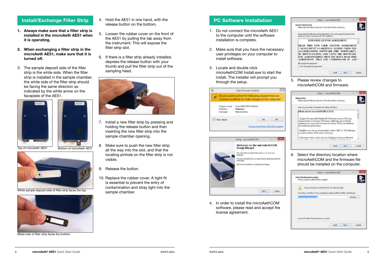## **Install/Exchange Filter Strip**

- **1. Always make sure that a filter strip is installed in the microAeth AE51 when it is operating.**
- **2. When exchanging a filter strip in the microAeth AE51, make sure that it is turned off.**
- 3. The sample deposit side of the filter strip is the white side. When the filter strip is installed in the sample chamber, the white side of the filter strip should be facing the same direction as indicated by the white arrow on the faceplate of the AE51.





White sample deposit side of filter strip faces the top.



Metal side of filter strip faces the bottom.

- 4. Hold the AE51 in one hand, with the release button on the bottom.
- 5. Loosen the rubber cover on the front of the AE51 by pulling the tab away from the instrument. This will expose the filter strip slot.
- 6. If there is a filter strip already installed, depress the release button with your thumb and pull the filter strip out of the sampling head.



- 7. Install a new filter strip by pressing and holding the release button and then inserting the new filter strip into the sample chamber opening.
- 8. Make sure to push the new filter strip all the way into the slot, and that the locating pinhole on the filter strip is not visible.
- 9. Release the button.
- 10. Replace the rubber cover. A tight fit is essential to prevent the entry of contamination and stray light into the sample chamber.

### **PC Software Installation**

- 1. Do not connect the microAeth AE51 to the computer until the software installation is complete.
- 2. Make sure that you have the necessary user privileges on your computer to install software.
- 3. Locate and double click microAethCOM Install exe to start the install. The installer will prompt you through the setup.





4. In order to install the microAethCOM software, please read and accept the license agreement.



5. Please review changes to microAethCOM and firmware.

|                                                                                                                                                                                                                                                                                             | Setup - microAethCCM |  |
|---------------------------------------------------------------------------------------------------------------------------------------------------------------------------------------------------------------------------------------------------------------------------------------------|----------------------|--|
| <b>Information</b><br>Resserved the following inportant information before contrains."                                                                                                                                                                                                      |                      |  |
| When you are needy to continue with Setup, dict/feed.                                                                                                                                                                                                                                       |                      |  |
| Whats new in micro-Lett/COM v7.1.0.0:<br>이번 화가 있을 사람은 사람이 사람들이 비가 보였다.                                                                                                                                                                                                                      |                      |  |
| Support for microAeth Model AES1 firmware version 705 (see<br>improvements in firmsure 705 below). Aethi, abs recommends<br>undating your instrument firmware to version 705 for new features.<br>and improved performance.<br>Datalles can now be develoaded in either DAT at CSV Retypes. |                      |  |
| is a disk location of the user's choosing.                                                                                                                                                                                                                                                  |                      |  |
| - Instrument status codes are now displayed in bottom left hand.<br>control of the media areas in Jeroman and Adds now. If Astrodock                                                                                                                                                        |                      |  |
|                                                                                                                                                                                                                                                                                             | $-0.014$             |  |

6. Select the directory location where microAethCOM and the firmware file should be installed on the computer.

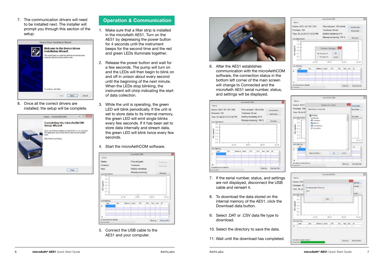7. The communication drivers will need to be installed next. The installer will prompt you through this section of the setup.



8. Once all the correct drivers are installed, the setup will be complete.



## **Operation & Communication**

- 1. Make sure that a filter strip is installed in the microAeth AE51. Turn on the AE51 by depressing the power button for 4 seconds until the instrument beeps for the second time and the red and green LEDs illuminate together.
- 2. Release the power button and wait for a few seconds. The pump will turn on and the LEDs will then begin to blink on and off in unison about every second until the beginning of the next minute. When the LEDs stop blinking, the instrument will chirp indicating the start of data collection.
- 3. While the unit is operating, the green LED will blink periodically. If the unit is set to store data to its internal memory, the green LED will emit single blinks every few seconds. If it has been set to store data internally and stream data, the green LED will blink twice every few seconds.

#### 4. Start the microAethCOM software.



5. Connect the USB cable to the AE51 and your computer.



6. After the AE51 establishes communication with the microAethCOM software, the connection status in the bottom left corner of the main screen will change to Connected and the microAeth AE51 serial number, status, and settings will be displayed.



- 7. If the serial number, status, and settings are not displayed, disconnect the USB cable and reinsert it.
- 8. To download the data stored on the internal memory of the AE51, click the Download data button.
- 9. Select .DAT or .CSV data file type to download.
- 10. Select the directory to save the data.
- 11. Wait until the download has completed.





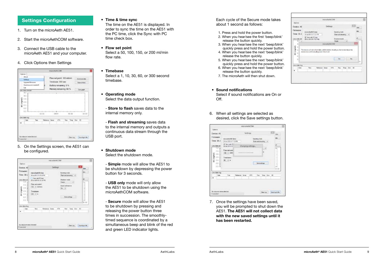## **Settings Configuration**

- 1. Turn on the microAeth AE51.
- 2. Start the microAethCOM software.
- 3. Connect the USB cable to the microAeth AE51 and your computer.
- 4. Click Options then Settings



5. On the Settings screen, the AE51 can be configured.



#### **• Time & time sync**

The time on the AE51 is displayed. In order to sync the time on the AE51 with the PC time, click the Sync with PC time check box.

**• Flow set point**

Select a 50, 100, 150, or 200 ml/min flow rate.

- **• Timebase** Select a 1, 10, 30, 60, or 300 second timebase.
- **• Operating mode** Select the data output function.

- **Store to flash** saves data to the internal memory only.

- **Flash and streaming** saves data to the internal memory and outputs a continuous data stream through the USB port.
- **• Shutdown mode** Select the shutdown mode.
	- **Simple** mode will allow the AE51 to be shutdown by depressing the power button for 3 seconds.
	- **USB only** mode will only allow the AE51 to be shutdown using the microAethCOM software.

- **Secure** mode will allow the AE51 to be shutdown by pressing and releasing the power button three times in succession. The smoothlytimed sequence is coordinated by a simultaneous beep and blink of the red and green LED indicator lights.

Each cycle of the Secure mode takes about 1 second as follows:

- 1. Press and hold the power button.
- 2. When you hear/see the first 'beep/blink' release the button quickly.
- 3. When you hear/see the next 'beep/blink' quickly press and hold the power button.
- 4. When you hear/see the next 'beep/blink' release the button quickly.
- 5. When you hear/see the next 'beep/blink' quickly press and hold the power button.
- 6. When you hear/see the next 'beep/blink' release the button quickly.
- 7. The microAeth will then shut down.
- **• Sound notifications** Select if sound notifications are On or Off.
- 6. When all settings are selected as desired, click the Save settings button.



7. Once the settings have been saved, you will be prompted to shut down the AE51. **The AE51 will not collect data with the new saved settings until it has been restarted.**

|                                          |                                                                                                                                                                        | microActhCOM                    |                                                                   |  |
|------------------------------------------|------------------------------------------------------------------------------------------------------------------------------------------------------------------------|---------------------------------|-------------------------------------------------------------------|--|
| Optione                                  |                                                                                                                                                                        |                                 |                                                                   |  |
| Deven AI                                 |                                                                                                                                                                        | <b>Settings</b>                 |                                                                   |  |
| Fettwiew<br>Timer 30.J.<br>Live chala on | mesoArth@tesa<br>30 AA 2013 5 17 27 PM<br>2. Secrett FOres .<br><b>CREATED BETWEEN</b>                                                                                 |                                 | <b>Bending medal</b><br>Renard dealers in<br><b>District mode</b> |  |
| Lzi                                      |                                                                                                                                                                        | manufactrCCM                    | w.<br><b>Louis</b>                                                |  |
| i mi<br>g =<br>٠<br>$\mathbb{R}$         | The parce will not collect date until it resents. Illindit you like to stud down the<br>deska mar and Hamally power is but and the state of the state and the state of |                                 | liter.                                                            |  |
| Live chain line.<br>Date:                | Tara                                                                                                                                                                   | <b>Selection Career</b><br>ictu | Torp Der 30<br>The .                                              |  |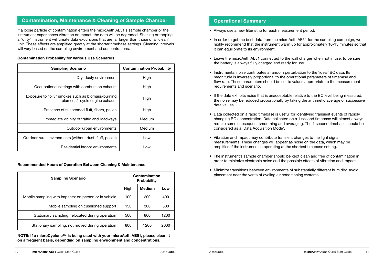## **Contamination, Maintenance & Cleaning of Sample Chamber**

If a loose particle of contamination enters the microAeth AE51's sample chamber or the instrument experiences vibration or impact, the data will be degraded. Shaking or tapping a "dirty" instrument will create data excursions that are far larger than those of a "clean" unit. These effects are amplified greatly at the shorter timebase settings. Cleaning intervals will vary based on the sampling environment and concentrations.

#### **Contamination Probability for Various Use Scenarios**

| <b>Sampling Scenario</b>                                                            | <b>Contamination Probability</b> |
|-------------------------------------------------------------------------------------|----------------------------------|
| Dry, dusty environment                                                              | High                             |
| Occupational settings with combustion exhaust                                       | High                             |
| Exposure to "oily" smokes such as biomass-burning<br>plumes, 2-cycle engine exhaust | High                             |
| Presence of suspended fluff, fibers, pollen                                         | High                             |
| Immediate vicinity of traffic and roadways                                          | Medium                           |
| Outdoor urban environments                                                          | Medium                           |
| Outdoor rural environments (without dust, fluff, pollen)                            | Low                              |
| Residential indoor environments                                                     | Low                              |

#### **Recommended Hours of Operation Between Cleaning & Maintenance**

| <b>Sampling Scenario</b>                              | Contamination<br><b>Probability</b> |               |      |
|-------------------------------------------------------|-------------------------------------|---------------|------|
|                                                       | High                                | <b>Medium</b> | Low  |
| Mobile sampling with impacts: on person or in vehicle | 100                                 | 200           | 400  |
| Mobile sampling on cushioned support                  | 150                                 | 300           | 500  |
| Stationary sampling, relocated during operation       | 500                                 | 800           | 1200 |
| Stationary sampling, not moved during operation       | 800                                 | 1200          | 2000 |

**NOTE: If a microCyclone™ is being used with your microAeth AE51, please clean it on a frequent basis, depending on sampling environment and concentrations.**

#### **Operational Summary**

- Always use a new filter strip for each measurement period.
- In order to get the best data from the microAeth AE51 for the sampling campaign, we highly recommend that the instrument warm up for approximately 10-15 minutes so that it can equilibrate to its environment.
- Leave the microAeth AE51 connected to the wall charger when not in use, to be sure the battery is always fully charged and ready for use.
- Instrumental noise contributes a random perturbation to the 'ideal' BC data. Its magnitude is inversely proportional to the operational parameters of timebase and flow rate. These parameters should be set to values appropriate to the measurement requirements and scenario.
- If the data exhibits noise that is unacceptable relative to the BC level being measured, the noise may be reduced proportionally by taking the arithmetic average of successive data values.
- Data collected on a rapid timebase is useful for identifying transient events of rapidly changing BC concentration. Data collected on a 1 second timebase will almost always require some subsequent smoothing and averaging. The 1 second timebase should be considered as a 'Data Acquisition Mode'.
- Vibration and impact may contribute transient changes to the light signal measurements. These changes will appear as noise on the data, which may be amplified if the instrument is operating at the shortest timebase setting.
- The instrument's sample chamber should be kept clean and free of contamination in order to minimize electronic noise and the possible effects of vibration and impact.
- Minimize transitions between environments of substantially different humidity. Avoid placement near the vents of cycling air conditioning systems.